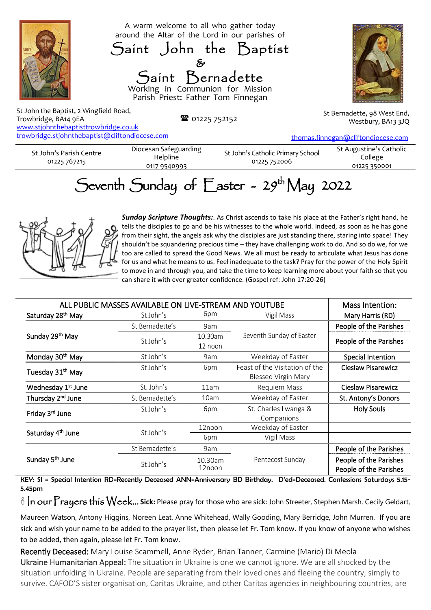



St John the Baptist, 2 Wingfield Road, Trowbridge, BA14 9EA www.stjohnthebaptisttrowbridge.co.uk [trowbridge.stjohnthebaptist@cliftondiocese.com](about:blank)

■ 01225 752152

Westbury, BA13 3JQ

[thomas.finnegan@cliftondiocese.com](about:blank)

St John's Parish Centre 01225 767215

Diocesan Safeguarding Helpline 0117 9540993

St John's Catholic Primary School 01225 752006

St Augustine's Catholic College 01225 350001

## Seventh Sunday of  $E$ aster - 29<sup>th</sup> May 2022



*Sunday Scripture Thoughts:*. As Christ ascends to take his place at the Father's right hand, he tells the disciples to go and be his witnesses to the whole world. Indeed, as soon as he has gone from their sight, the angels ask why the disciples are just standing there, staring into space! They shouldn't be squandering precious time – they have challenging work to do. And so do we, for we too are called to spread the Good News. We all must be ready to articulate what Jesus has done for us and what he means to us. Feel inadequate to the task? Pray for the power of the Holy Spirit to move in and through you, and take the time to keep learning more about your faith so that you can share it with ever greater confidence. (Gospel ref: John 17:20-26)

| ALL PUBLIC MASSES AVAILABLE ON LIVE-STREAM AND YOUTUBE |                 |                    |                                                              | Mass Intention:                                  |
|--------------------------------------------------------|-----------------|--------------------|--------------------------------------------------------------|--------------------------------------------------|
| Saturday 28 <sup>th</sup> May                          | St John's       | 6pm                | Vigil Mass                                                   | Mary Harris (RD)                                 |
| Sunday 29th May                                        | St Bernadette's | 9am                | Seventh Sunday of Easter                                     | People of the Parishes                           |
|                                                        | St John's       | 10.30am<br>12 noon |                                                              | People of the Parishes                           |
| Monday 30 <sup>th</sup> May                            | St John's       | 9am                | Weekday of Easter                                            | <b>Special Intention</b>                         |
| Tuesday 31 <sup>th</sup> May                           | St John's       | 6pm                | Feast of the Visitation of the<br><b>Blessed Virgin Mary</b> | <b>Cieslaw Pisarewicz</b>                        |
| Wednesday 1 <sup>st</sup> June                         | St. John's      | 11am               | Requiem Mass                                                 | <b>Cieslaw Pisarewicz</b>                        |
| Thursday 2 <sup>nd</sup> June                          | St Bernadette's | 10am               | Weekday of Easter                                            | St. Antony's Donors                              |
| Friday 3rd June                                        | St John's       | 6pm                | St. Charles Lwanga &<br>Companions                           | <b>Holy Souls</b>                                |
| Saturday 4 <sup>th</sup> June                          | St John's       | 12noon             | Weekday of Easter                                            |                                                  |
|                                                        |                 | 6pm                | Vigil Mass                                                   |                                                  |
| Sunday 5 <sup>th</sup> June                            | St Bernadette's | 9am                | Pentecost Sunday                                             | People of the Parishes                           |
|                                                        | St John's       | 10.30am<br>12noon  |                                                              | People of the Parishes<br>People of the Parishes |

KEY: SI = Special Intention RD=Recently Deceased ANN=Anniversary BD Birthday. D'ed=Deceased. Confessions Saturdays 5.15- 5.45pm

<sup>8</sup> In our Prayers this Week... Sick: Please pray for those who are sick: John Streeter, Stephen Marsh. Cecily Geldart,

Maureen Watson, Antony Higgins, Noreen Leat, Anne Whitehead, Wally Gooding, Mary Berridge, John Murren, If you are sick and wish your name to be added to the prayer list, then please let Fr. Tom know. If you know of anyone who wishes to be added, then again, please let Fr. Tom know.

Recently Deceased: Mary Louise Scammell, Anne Ryder, Brian Tanner, Carmine (Mario) Di Meola Ukraine Humanitarian Appeal: The situation in Ukraine is one we cannot ignore. We are all shocked by the situation unfolding in Ukraine. People are separating from their loved ones and fleeing the country, simply to survive. CAFOD'S sister organisation, Caritas Ukraine, and other Caritas agencies in neighbouring countries, are